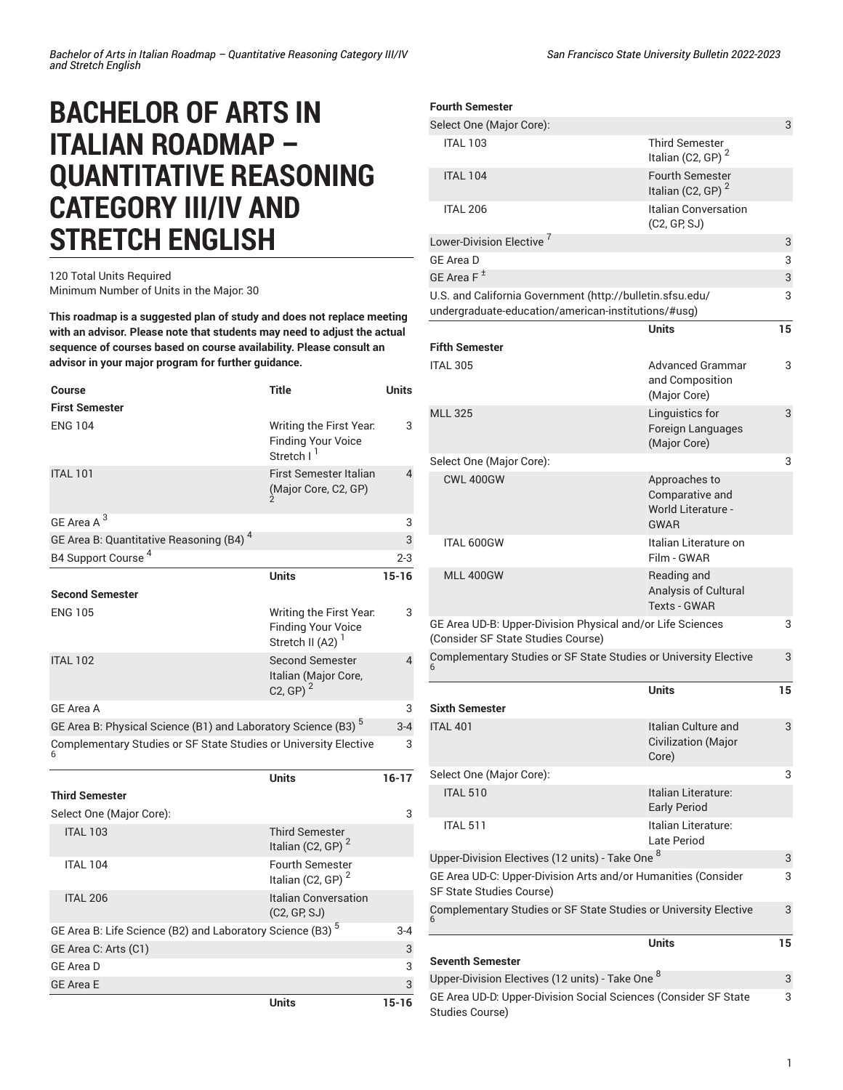## **BACHELOR OF ARTS IN ITALIAN ROADMAP – QUANTITATIVE REASONING CATEGORY III/IV AND STRETCH ENGLISH**

## 120 Total Units Required Minimum Number of Units in the Major: 30

**This roadmap is a suggested plan of study and does not replace meeting with an advisor. Please note that students may need to adjust the actual sequence of courses based on course availability. Please consult an advisor in your major program for further guidance.**

| <b>Course</b>                                                             | <b>Title</b>                                                                         | <b>Units</b>   |
|---------------------------------------------------------------------------|--------------------------------------------------------------------------------------|----------------|
| <b>First Semester</b>                                                     |                                                                                      |                |
| <b>ENG 104</b>                                                            | Writing the First Year.<br><b>Finding Your Voice</b><br>Stretch I <sup>1</sup>       | 3              |
| <b>ITAL 101</b>                                                           | <b>First Semester Italian</b><br>(Major Core, C2, GP)                                | $\overline{4}$ |
| GE Area A <sup>3</sup>                                                    |                                                                                      | 3              |
| GE Area B: Quantitative Reasoning (B4) <sup>4</sup>                       |                                                                                      | 3              |
| B4 Support Course <sup>4</sup>                                            |                                                                                      | $2 - 3$        |
|                                                                           | <b>Units</b>                                                                         | $15 - 16$      |
| <b>Second Semester</b>                                                    |                                                                                      |                |
| <b>ENG 105</b>                                                            | Writing the First Year.<br><b>Finding Your Voice</b><br>Stretch II (A2) <sup>1</sup> | 3              |
| <b>ITAL 102</b>                                                           | <b>Second Semester</b><br>Italian (Major Core,<br>C <sub>2</sub> , GP) <sup>2</sup>  | $\overline{4}$ |
| <b>GE Area A</b>                                                          |                                                                                      | 3              |
| GE Area B: Physical Science (B1) and Laboratory Science (B3) <sup>5</sup> |                                                                                      | $3 - 4$        |
| Complementary Studies or SF State Studies or University Elective          |                                                                                      | 3              |
|                                                                           | Units                                                                                | $16-17$        |
| <b>Third Semester</b>                                                     |                                                                                      |                |
| Select One (Major Core):                                                  |                                                                                      | 3              |
| <b>ITAL 103</b>                                                           | <b>Third Semester</b><br>Italian (C2, GP) $2$                                        |                |
| <b>ITAL 104</b>                                                           | <b>Fourth Semester</b><br>Italian (C2, GP) $2$                                       |                |
| <b>ITAL 206</b>                                                           | <b>Italian Conversation</b><br>(C2, GP, SJ)                                          |                |
| GE Area B: Life Science (B2) and Laboratory Science (B3) <sup>5</sup>     |                                                                                      | $3 - 4$        |
| GE Area C: Arts (C1)                                                      |                                                                                      | 3              |
| <b>GE Area D</b>                                                          |                                                                                      | 3              |
| <b>GE Area E</b>                                                          |                                                                                      | 3              |

**Units 15-16**

| <b>Fourth Semester</b>                                                                                           |                                                                       |    |
|------------------------------------------------------------------------------------------------------------------|-----------------------------------------------------------------------|----|
|                                                                                                                  |                                                                       |    |
| Select One (Major Core):                                                                                         |                                                                       | 3  |
| <b>ITAL 103</b>                                                                                                  | <b>Third Semester</b><br>Italian (C2, GP) $2$                         |    |
| <b>ITAL 104</b>                                                                                                  | <b>Fourth Semester</b><br>Italian (C2, GP) <sup>2</sup>               |    |
| <b>ITAL 206</b>                                                                                                  | Italian Conversation<br>(C2, GP, SJ)                                  |    |
| Lower-Division Elective <sup>7</sup>                                                                             |                                                                       | 3  |
| <b>GF Area D</b>                                                                                                 |                                                                       | 3  |
| GE Area F <sup>±</sup>                                                                                           |                                                                       | 3  |
| U.S. and California Government (http://bulletin.sfsu.edu/<br>undergraduate-education/american-institutions/#usg) |                                                                       | 3  |
|                                                                                                                  | <b>Units</b>                                                          | 15 |
| <b>Fifth Semester</b>                                                                                            |                                                                       |    |
| <b>ITAL 305</b>                                                                                                  | Advanced Grammar<br>and Composition<br>(Major Core)                   | 3  |
| <b>MLL 325</b>                                                                                                   | Linguistics for<br>Foreign Languages<br>(Major Core)                  | 3  |
| Select One (Major Core):                                                                                         |                                                                       | 3  |
| <b>CWL 400GW</b>                                                                                                 | Approaches to<br>Comparative and<br>World Literature -<br><b>GWAR</b> |    |
| <b>ITAL 600GW</b>                                                                                                | Italian Literature on<br>Film - GWAR                                  |    |
| MLL 400GW                                                                                                        | Reading and<br>Analysis of Cultural<br><b>Texts - GWAR</b>            |    |
| GE Area UD-B: Upper-Division Physical and/or Life Sciences<br>(Consider SF State Studies Course)                 |                                                                       | 3  |
| Complementary Studies or SF State Studies or University Elective<br>3                                            |                                                                       |    |
| <b>Sixth Semester</b>                                                                                            | <b>Units</b>                                                          | 15 |
| <b>ITAL 401</b>                                                                                                  | Italian Culture and<br>Civilization (Major<br>Core)                   | 3  |
| Select One (Major Core):                                                                                         |                                                                       | 3  |
| <b>ITAL 510</b>                                                                                                  | Italian Literature:<br><b>Early Period</b>                            |    |
| <b>ITAL 511</b>                                                                                                  | Italian Literature:<br>Late Period                                    |    |
| Upper-Division Electives (12 units) - Take One <sup>8</sup>                                                      |                                                                       | 3  |
| GE Area UD-C: Upper-Division Arts and/or Humanities (Consider<br>SF State Studies Course)                        |                                                                       | 3  |
| Complementary Studies or SF State Studies or University Elective                                                 |                                                                       |    |
| <b>Seventh Semester</b>                                                                                          | <b>Units</b>                                                          | 15 |
| Upper-Division Electives (12 units) - Take One <sup>8</sup>                                                      |                                                                       | 3  |
| GE Area UD-D: Upper-Division Social Sciences (Consider SF State                                                  |                                                                       | 3  |
| Studies Course)                                                                                                  |                                                                       |    |